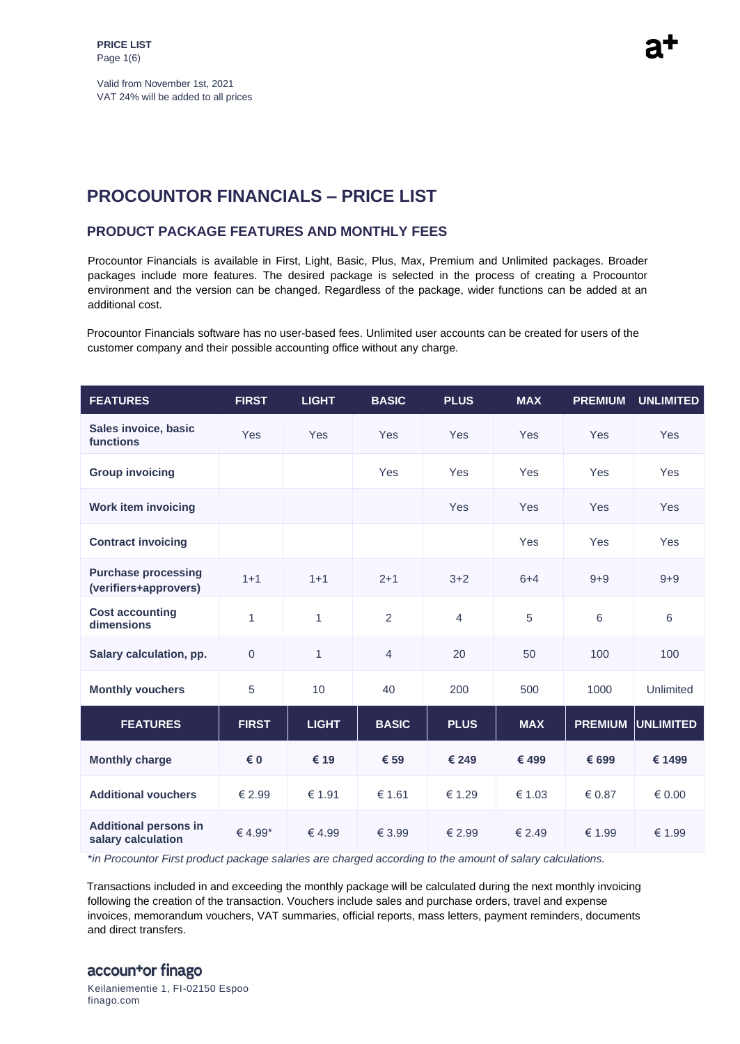Valid from November 1st, 2021 VAT 24% will be added to all prices

# **PROCOUNTOR FINANCIALS – PRICE LIST**

#### **PRODUCT PACKAGE FEATURES AND MONTHLY FEES**

Procountor Financials is available in First, Light, Basic, Plus, Max, Premium and Unlimited packages. Broader packages include more features. The desired package is selected in the process of creating a Procountor environment and the version can be changed. Regardless of the package, wider functions can be added at an additional cost.

Procountor Financials software has no user-based fees. Unlimited user accounts can be created for users of the customer company and their possible accounting office without any charge.

| <b>FEATURES</b>                                     | <b>FIRST</b>        | <b>LIGHT</b> | <b>BASIC</b>   | <b>PLUS</b>    | <b>MAX</b> | <b>PREMIUM</b> | <b>UNLIMITED</b> |
|-----------------------------------------------------|---------------------|--------------|----------------|----------------|------------|----------------|------------------|
| Sales invoice, basic<br>functions                   | <b>Yes</b>          | Yes          | Yes            | Yes            | Yes        | <b>Yes</b>     | <b>Yes</b>       |
| <b>Group invoicing</b>                              |                     |              | Yes            | Yes            | Yes        | Yes            | <b>Yes</b>       |
| <b>Work item invoicing</b>                          |                     |              |                | Yes            | Yes        | Yes            | Yes              |
| <b>Contract invoicing</b>                           |                     |              |                |                | Yes        | Yes            | Yes              |
| <b>Purchase processing</b><br>(verifiers+approvers) | $1 + 1$             | $1 + 1$      | $2 + 1$        | $3 + 2$        | $6 + 4$    | $9 + 9$        | $9 + 9$          |
| <b>Cost accounting</b><br>dimensions                | $\mathbf{1}$        | $\mathbf{1}$ | 2              | $\overline{4}$ | 5          | 6              | 6                |
| Salary calculation, pp.                             | $\mathbf 0$         | $\mathbf{1}$ | $\overline{4}$ | 20             | 50         | 100            | 100              |
| <b>Monthly vouchers</b>                             | 5                   | 10           | 40             | 200            | 500        | 1000           | Unlimited        |
| <b>FEATURES</b>                                     | <b>FIRST</b>        | <b>LIGHT</b> | <b>BASIC</b>   | <b>PLUS</b>    | <b>MAX</b> | <b>PREMIUM</b> | <b>UNLIMITED</b> |
| <b>Monthly charge</b>                               | € 0                 | € 19         | € 59           | € 249          | € 499      | € 699          | € 1499           |
| <b>Additional vouchers</b>                          | € 2.99              | € 1.91       | € 1.61         | € 1.29         | € 1.03     | € 0.87         | $\epsilon$ 0.00  |
| <b>Additional persons in</b><br>salary calculation  | € 4.99 <sup>*</sup> | €4.99        | € 3.99         | € 2.99         | € 2.49     | € 1.99         | € 1.99           |

\**in Procountor First product package salaries are charged according to the amount of salary calculations.* 

Transactions included in and exceeding the monthly package will be calculated during the next monthly invoicing following the creation of the transaction. Vouchers include sales and purchase orders, travel and expense invoices, memorandum vouchers, VAT summaries, official reports, mass letters, payment reminders, documents and direct transfers.

# accountor finago

Keilaniementie 1, FI-02150 Espoo finago.com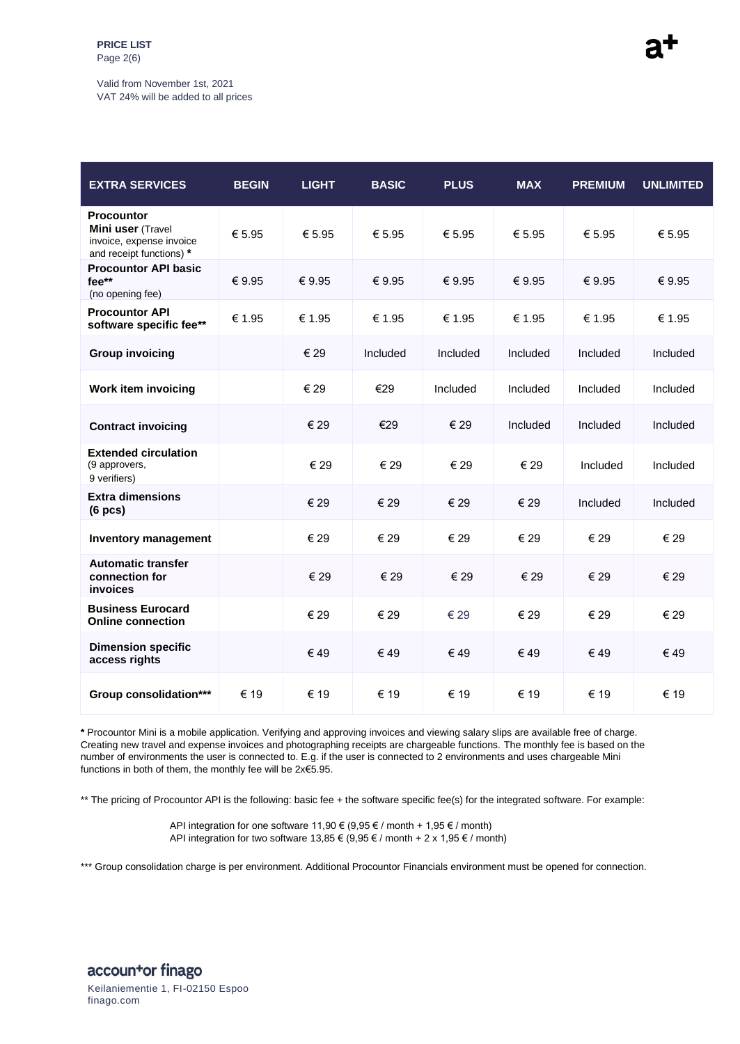# Valid from November 1st, 2021

VAT 24% will be added to all prices

| <b>EXTRA SERVICES</b>                                                                          | <b>BEGIN</b> | <b>LIGHT</b> | <b>BASIC</b> | <b>PLUS</b> | <b>MAX</b> | <b>PREMIUM</b> | <b>UNLIMITED</b> |
|------------------------------------------------------------------------------------------------|--------------|--------------|--------------|-------------|------------|----------------|------------------|
| <b>Procountor</b><br>Mini user (Travel<br>invoice, expense invoice<br>and receipt functions) * | € 5.95       | € 5.95       | € 5.95       | € 5.95      | € 5.95     | € 5.95         | € 5.95           |
| <b>Procountor API basic</b><br>fee**<br>(no opening fee)                                       | € 9.95       | € 9.95       | € 9.95       | € 9.95      | € 9.95     | € 9.95         | € 9.95           |
| <b>Procountor API</b><br>software specific fee**                                               | € 1.95       | € 1.95       | € 1.95       | € 1.95      | € 1.95     | € 1.95         | € 1.95           |
| <b>Group invoicing</b>                                                                         |              | € 29         | Included     | Included    | Included   | Included       | Included         |
| <b>Work item invoicing</b>                                                                     |              | € 29         | €29          | Included    | Included   | Included       | Included         |
| <b>Contract invoicing</b>                                                                      |              | € 29         | €29          | € 29        | Included   | Included       | Included         |
| <b>Extended circulation</b><br>(9 approvers,<br>9 verifiers)                                   |              | € 29         | € 29         | € 29        | € 29       | Included       | Included         |
| <b>Extra dimensions</b><br>(6 pcs)                                                             |              | € 29         | € 29         | € 29        | € 29       | Included       | Included         |
| <b>Inventory management</b>                                                                    |              | € 29         | € 29         | € 29        | € 29       | € 29           | € 29             |
| <b>Automatic transfer</b><br>connection for<br>invoices                                        |              | € 29         | € 29         | € 29        | € 29       | € 29           | € 29             |
| <b>Business Eurocard</b><br><b>Online connection</b>                                           |              | € 29         | € 29         | € 29        | € 29       | € 29           | € 29             |
| <b>Dimension specific</b><br>access rights                                                     |              | €49          | €49          | € 49        | €49        | €49            | €49              |
| Group consolidation***                                                                         | € 19         | € 19         | € 19         | € 19        | € 19       | € 19           | € 19             |

**\*** Procountor Mini is a mobile application. Verifying and approving invoices and viewing salary slips are available free of charge. Creating new travel and expense invoices and photographing receipts are chargeable functions. The monthly fee is based on the number of environments the user is connected to. E.g. if the user is connected to 2 environments and uses chargeable Mini functions in both of them, the monthly fee will be 2x€5.95.

\*\* The pricing of Procountor API is the following: basic fee + the software specific fee(s) for the integrated software. For example:

API integration for one software 11,90  $\in$  (9,95  $\in$  / month + 1,95  $\in$  / month) API integration for two software 13,85 € (9,95 € / month + 2 x 1,95 € / month)

\*\*\* Group consolidation charge is per environment. Additional Procountor Financials environment must be opened for connection.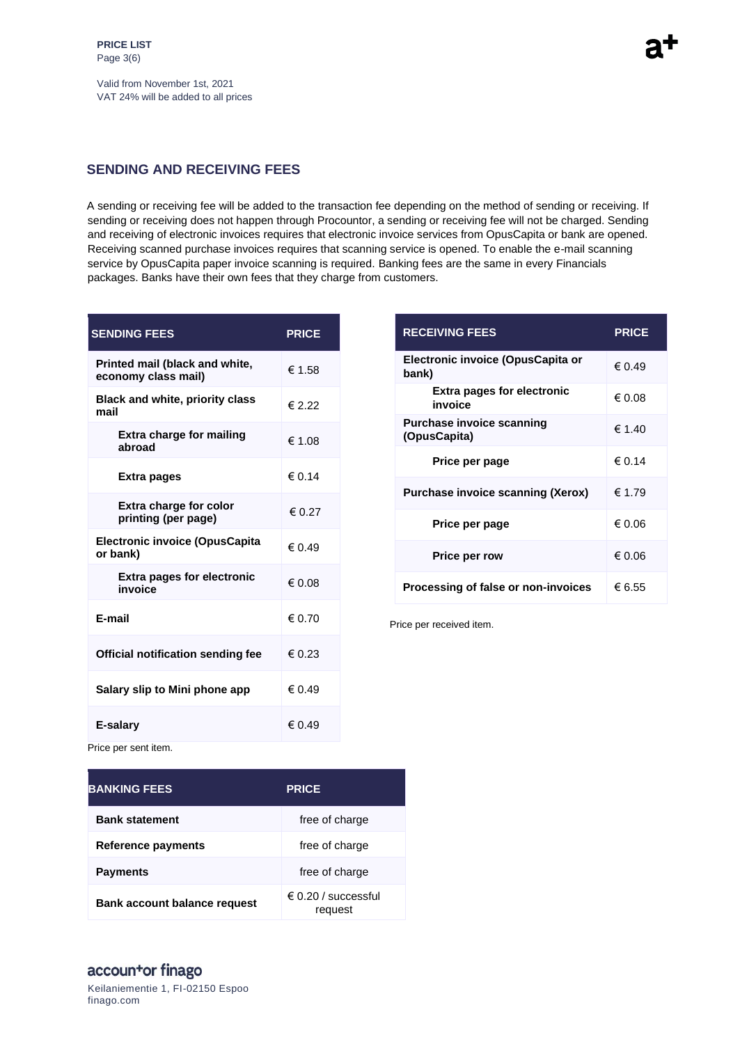Valid from November 1st, 2021 VAT 24% will be added to all prices

#### **SENDING AND RECEIVING FEES**

A sending or receiving fee will be added to the transaction fee depending on the method of sending or receiving. If sending or receiving does not happen through Procountor, a sending or receiving fee will not be charged. Sending and receiving of electronic invoices requires that electronic invoice services from OpusCapita or bank are opened. Receiving scanned purchase invoices requires that scanning service is opened. To enable the e-mail scanning service by OpusCapita paper invoice scanning is required. Banking fees are the same in every Financials packages. Banks have their own fees that they charge from customers.

| <b>SENDING FEES</b>                                   | <b>PRICE</b>    |
|-------------------------------------------------------|-----------------|
| Printed mail (black and white,<br>economy class mail) | € 1.58          |
| <b>Black and white, priority class</b><br>mail        | $\epsilon$ 2.22 |
| <b>Extra charge for mailing</b><br>abroad             | € 1.08          |
| Extra pages                                           | $\epsilon$ 0.14 |
| <b>Extra charge for color</b><br>printing (per page)  | $\epsilon$ 0.27 |
| <b>Electronic invoice (OpusCapita</b><br>or bank)     | $\epsilon$ 0.49 |
| <b>Extra pages for electronic</b><br>invoice          | $\epsilon$ 0.08 |
| F-mail                                                | 6.70            |
| <b>Official notification sending fee</b>              | € 0.23          |
| Salary slip to Mini phone app                         | $\epsilon$ 0.49 |
| E-salary                                              | € 0.49          |

| <b>RECEIVING FEES</b>                            | <b>PRICE</b> |
|--------------------------------------------------|--------------|
| Electronic invoice (OpusCapita or<br>bank)       | € 0.49       |
| <b>Extra pages for electronic</b><br>invoice     | € 0.08       |
| <b>Purchase invoice scanning</b><br>(OpusCapita) | € 1.40       |
| Price per page                                   | € 0.14       |
| <b>Purchase invoice scanning (Xerox)</b>         | € 1.79       |
| Price per page                                   | € 0.06       |
| <b>Price per row</b>                             | € 0.06       |
| Processing of false or non-invoices              | € 6.55       |

Price per received item.

Price per sent item.

| <b>BANKING FEES</b>                 | <b>PRICE</b>                            |
|-------------------------------------|-----------------------------------------|
| <b>Bank statement</b>               | free of charge                          |
| Reference payments                  | free of charge                          |
| <b>Payments</b>                     | free of charge                          |
| <b>Bank account balance request</b> | $\epsilon$ 0.20 / successful<br>request |

# accountor finago

Keilaniementie 1, FI-02150 Espoo finago.com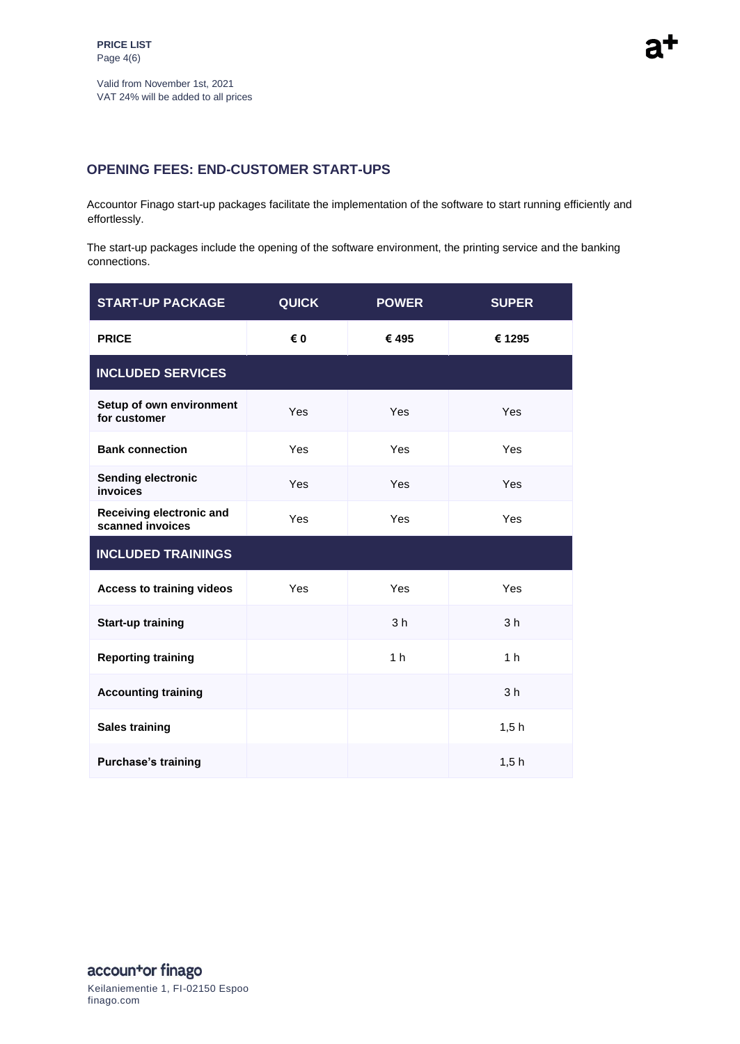## **OPENING FEES: END-CUSTOMER START-UPS**

Accountor Finago start-up packages facilitate the implementation of the software to start running efficiently and effortlessly.

The start-up packages include the opening of the software environment, the printing service and the banking connections.

| <b>START-UP PACKAGE</b>                      | <b>QUICK</b> | <b>POWER</b>   | <b>SUPER</b>   |
|----------------------------------------------|--------------|----------------|----------------|
| <b>PRICE</b>                                 | € 0          | €495           | € 1295         |
| <b>INCLUDED SERVICES</b>                     |              |                |                |
| Setup of own environment<br>for customer     | Yes          | Yes            | Yes            |
| <b>Bank connection</b>                       | Yes          | Yes            | Yes            |
| <b>Sending electronic</b><br>invoices        | Yes          | Yes            | Yes            |
| Receiving electronic and<br>scanned invoices | Yes          | Yes            | <b>Yes</b>     |
| <b>INCLUDED TRAININGS</b>                    |              |                |                |
| <b>Access to training videos</b>             | Yes          | Yes            | Yes            |
| <b>Start-up training</b>                     |              | 3 <sub>h</sub> | 3 <sub>h</sub> |
| <b>Reporting training</b>                    |              | 1 <sub>h</sub> | 1 <sub>h</sub> |
| <b>Accounting training</b>                   |              |                | 3 <sub>h</sub> |
| <b>Sales training</b>                        |              |                | 1,5h           |
| <b>Purchase's training</b>                   |              |                | 1,5h           |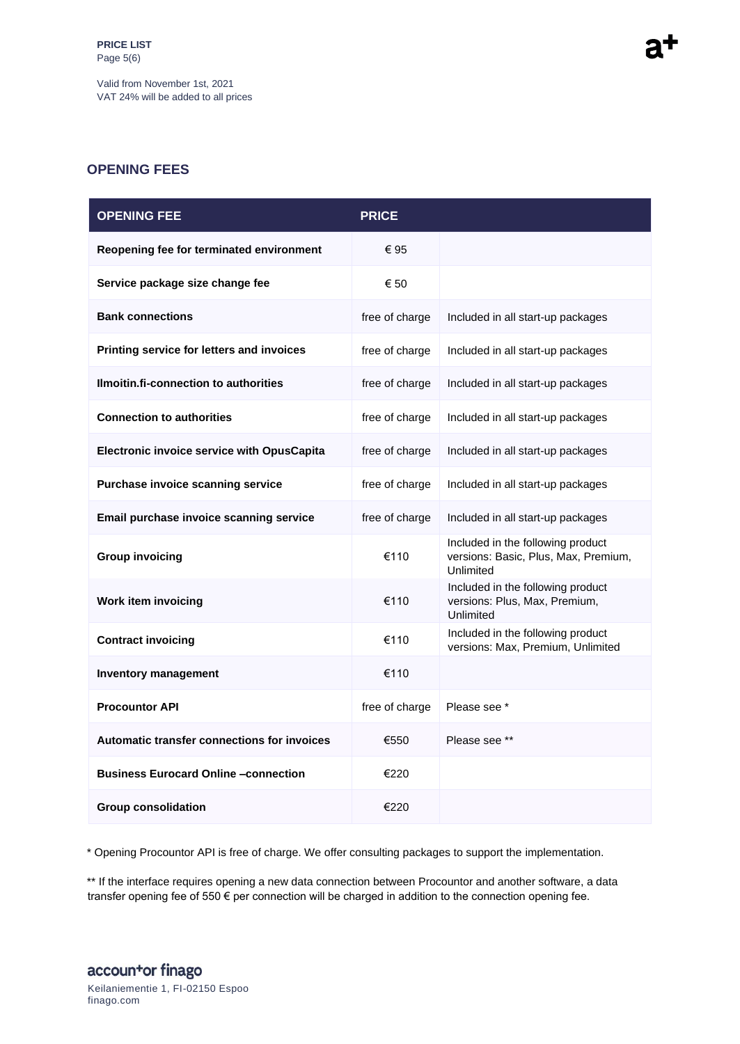Valid from November 1st, 2021 VAT 24% will be added to all prices

## **OPENING FEES**

| <b>OPENING FEE</b>                                 | <b>PRICE</b>   |                                                                                        |
|----------------------------------------------------|----------------|----------------------------------------------------------------------------------------|
| Reopening fee for terminated environment           | € 95           |                                                                                        |
| Service package size change fee                    | € 50           |                                                                                        |
| <b>Bank connections</b>                            | free of charge | Included in all start-up packages                                                      |
| Printing service for letters and invoices          | free of charge | Included in all start-up packages                                                      |
| Ilmoitin.fi-connection to authorities              | free of charge | Included in all start-up packages                                                      |
| <b>Connection to authorities</b>                   | free of charge | Included in all start-up packages                                                      |
| <b>Electronic invoice service with OpusCapita</b>  | free of charge | Included in all start-up packages                                                      |
| Purchase invoice scanning service                  | free of charge | Included in all start-up packages                                                      |
| Email purchase invoice scanning service            | free of charge | Included in all start-up packages                                                      |
| <b>Group invoicing</b>                             | €110           | Included in the following product<br>versions: Basic, Plus, Max, Premium,<br>Unlimited |
| <b>Work item invoicing</b>                         | €110           | Included in the following product<br>versions: Plus, Max, Premium,<br>Unlimited        |
| <b>Contract invoicing</b>                          | €110           | Included in the following product<br>versions: Max, Premium, Unlimited                 |
| <b>Inventory management</b>                        | €110           |                                                                                        |
| <b>Procountor API</b>                              | free of charge | Please see *                                                                           |
| <b>Automatic transfer connections for invoices</b> | €550           | Please see **                                                                          |
| <b>Business Eurocard Online -connection</b>        | €220           |                                                                                        |
| <b>Group consolidation</b>                         | €220           |                                                                                        |

\* Opening Procountor API is free of charge. We offer consulting packages to support the implementation.

\*\* If the interface requires opening a new data connection between Procountor and another software, a data transfer opening fee of 550 € per connection will be charged in addition to the connection opening fee.